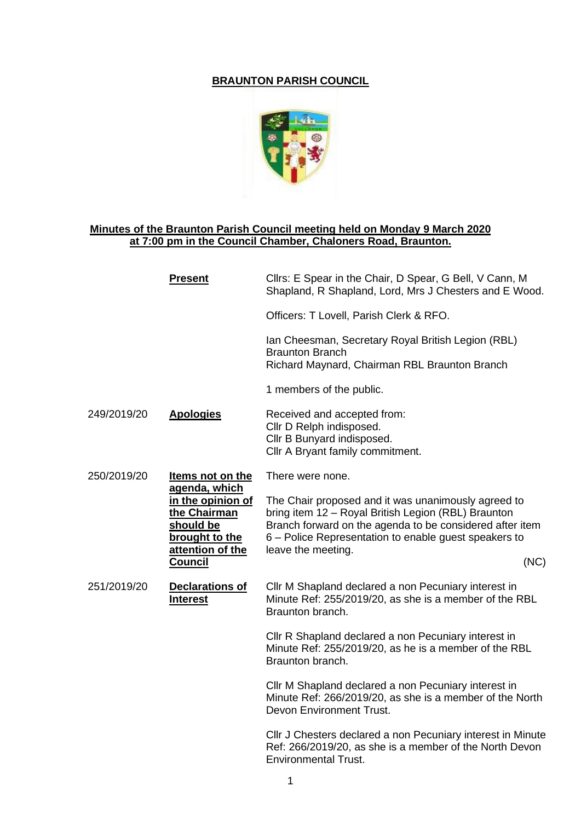## **BRAUNTON PARISH COUNCIL**



## **Minutes of the Braunton Parish Council meeting held on Monday 9 March 2020 at 7:00 pm in the Council Chamber, Chaloners Road, Braunton.**

|             | <b>Present</b>                                                                                                                                     | Cllrs: E Spear in the Chair, D Spear, G Bell, V Cann, M<br>Shapland, R Shapland, Lord, Mrs J Chesters and E Wood.                                                                                                                                             |
|-------------|----------------------------------------------------------------------------------------------------------------------------------------------------|---------------------------------------------------------------------------------------------------------------------------------------------------------------------------------------------------------------------------------------------------------------|
|             |                                                                                                                                                    | Officers: T Lovell, Parish Clerk & RFO.                                                                                                                                                                                                                       |
|             |                                                                                                                                                    | Ian Cheesman, Secretary Royal British Legion (RBL)<br><b>Braunton Branch</b><br>Richard Maynard, Chairman RBL Braunton Branch                                                                                                                                 |
|             |                                                                                                                                                    | 1 members of the public.                                                                                                                                                                                                                                      |
| 249/2019/20 | <b>Apologies</b>                                                                                                                                   | Received and accepted from:<br>Cllr D Relph indisposed.<br>Cllr B Bunyard indisposed.<br>Cllr A Bryant family commitment.                                                                                                                                     |
| 250/2019/20 | <b>Items not on the</b><br>agenda, which<br>in the opinion of<br>the Chairman<br>should be<br>brought to the<br>attention of the<br><b>Council</b> | There were none.                                                                                                                                                                                                                                              |
|             |                                                                                                                                                    | The Chair proposed and it was unanimously agreed to<br>bring item 12 - Royal British Legion (RBL) Braunton<br>Branch forward on the agenda to be considered after item<br>6 – Police Representation to enable guest speakers to<br>leave the meeting.<br>(NC) |
| 251/2019/20 | <b>Declarations of</b><br><b>Interest</b>                                                                                                          | Cllr M Shapland declared a non Pecuniary interest in<br>Minute Ref: 255/2019/20, as she is a member of the RBL<br>Braunton branch.                                                                                                                            |
|             |                                                                                                                                                    | Cllr R Shapland declared a non Pecuniary interest in<br>Minute Ref: 255/2019/20, as he is a member of the RBL<br>Braunton branch.                                                                                                                             |
|             |                                                                                                                                                    | Cllr M Shapland declared a non Pecuniary interest in<br>Minute Ref: 266/2019/20, as she is a member of the North<br>Devon Environment Trust.                                                                                                                  |
|             |                                                                                                                                                    | Cllr J Chesters declared a non Pecuniary interest in Minute<br>Ref: 266/2019/20, as she is a member of the North Devon<br><b>Environmental Trust.</b>                                                                                                         |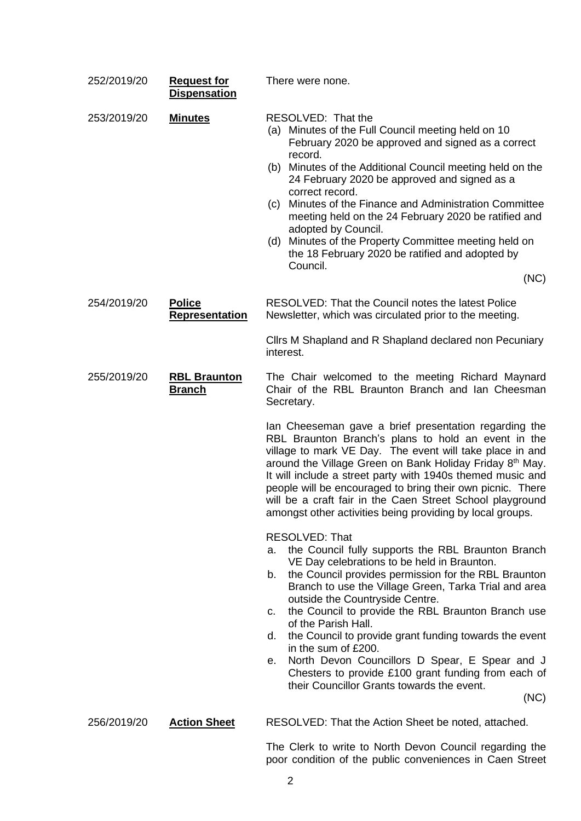| 252/2019/20 | <b>Request for</b><br><b>Dispensation</b> | There were none.                                                                                                                                                                                                                                                                                                                                                                                                                                                                                                                                                                                                                          |
|-------------|-------------------------------------------|-------------------------------------------------------------------------------------------------------------------------------------------------------------------------------------------------------------------------------------------------------------------------------------------------------------------------------------------------------------------------------------------------------------------------------------------------------------------------------------------------------------------------------------------------------------------------------------------------------------------------------------------|
| 253/2019/20 | <b>Minutes</b>                            | RESOLVED: That the<br>(a) Minutes of the Full Council meeting held on 10<br>February 2020 be approved and signed as a correct<br>record.<br>(b) Minutes of the Additional Council meeting held on the<br>24 February 2020 be approved and signed as a<br>correct record.<br>Minutes of the Finance and Administration Committee<br>(c)<br>meeting held on the 24 February 2020 be ratified and<br>adopted by Council.<br>(d) Minutes of the Property Committee meeting held on<br>the 18 February 2020 be ratified and adopted by<br>Council.<br>(NC)                                                                                     |
| 254/2019/20 | <u>Police</u><br><b>Representation</b>    | RESOLVED: That the Council notes the latest Police<br>Newsletter, which was circulated prior to the meeting.                                                                                                                                                                                                                                                                                                                                                                                                                                                                                                                              |
|             |                                           | Clirs M Shapland and R Shapland declared non Pecuniary<br>interest.                                                                                                                                                                                                                                                                                                                                                                                                                                                                                                                                                                       |
| 255/2019/20 | <b>RBL Braunton</b><br><b>Branch</b>      | The Chair welcomed to the meeting Richard Maynard<br>Chair of the RBL Braunton Branch and Ian Cheesman<br>Secretary.                                                                                                                                                                                                                                                                                                                                                                                                                                                                                                                      |
|             |                                           | Ian Cheeseman gave a brief presentation regarding the<br>RBL Braunton Branch's plans to hold an event in the<br>village to mark VE Day. The event will take place in and<br>around the Village Green on Bank Holiday Friday 8 <sup>th</sup> May.<br>It will include a street party with 1940s themed music and<br>people will be encouraged to bring their own picnic. There<br>will be a craft fair in the Caen Street School playground<br>amongst other activities being providing by local groups.                                                                                                                                    |
|             |                                           | <b>RESOLVED: That</b><br>the Council fully supports the RBL Braunton Branch<br>а.<br>VE Day celebrations to be held in Braunton.<br>the Council provides permission for the RBL Braunton<br>b.<br>Branch to use the Village Green, Tarka Trial and area<br>outside the Countryside Centre.<br>the Council to provide the RBL Braunton Branch use<br>C.<br>of the Parish Hall.<br>the Council to provide grant funding towards the event<br>d.<br>in the sum of £200.<br>North Devon Councillors D Spear, E Spear and J<br>е.<br>Chesters to provide £100 grant funding from each of<br>their Councillor Grants towards the event.<br>(NC) |
| 256/2019/20 | <b>Action Sheet</b>                       | RESOLVED: That the Action Sheet be noted, attached.<br>The Clerk to write to North Devon Council regarding the                                                                                                                                                                                                                                                                                                                                                                                                                                                                                                                            |

poor condition of the public conveniences in Caen Street

2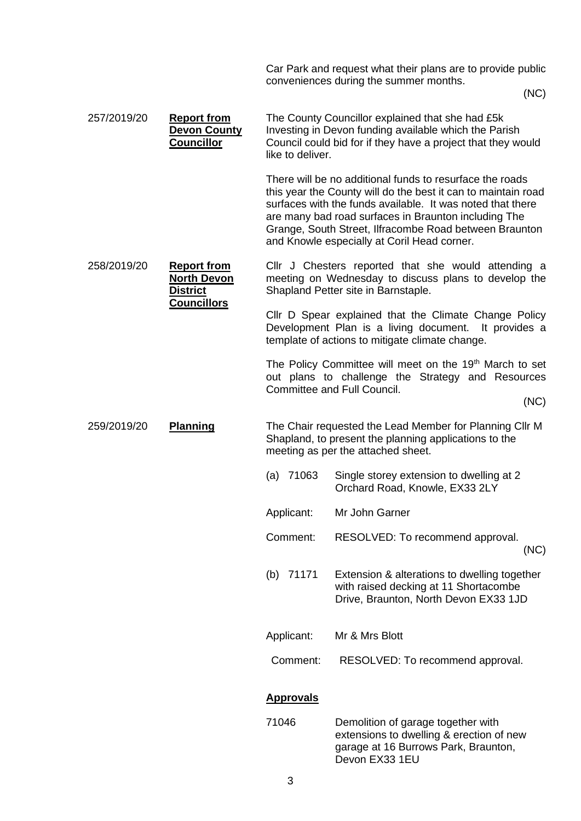|             |                                                                                   |                  | Car Park and request what their plans are to provide public<br>conveniences during the summer months.                                                                                                                                                                                                                                                    |
|-------------|-----------------------------------------------------------------------------------|------------------|----------------------------------------------------------------------------------------------------------------------------------------------------------------------------------------------------------------------------------------------------------------------------------------------------------------------------------------------------------|
|             |                                                                                   |                  | (NC)                                                                                                                                                                                                                                                                                                                                                     |
| 257/2019/20 | <b>Report from</b><br><b>Devon County</b><br><b>Councillor</b>                    | like to deliver. | The County Councillor explained that she had £5k<br>Investing in Devon funding available which the Parish<br>Council could bid for if they have a project that they would                                                                                                                                                                                |
|             |                                                                                   |                  | There will be no additional funds to resurface the roads<br>this year the County will do the best it can to maintain road<br>surfaces with the funds available. It was noted that there<br>are many bad road surfaces in Braunton including The<br>Grange, South Street, Ilfracombe Road between Braunton<br>and Knowle especially at Coril Head corner. |
| 258/2019/20 | <b>Report from</b><br><b>North Devon</b><br><b>District</b><br><b>Councillors</b> |                  | Cllr J Chesters reported that she would attending a<br>meeting on Wednesday to discuss plans to develop the<br>Shapland Petter site in Barnstaple.                                                                                                                                                                                                       |
|             |                                                                                   |                  | Cllr D Spear explained that the Climate Change Policy<br>Development Plan is a living document. It provides a<br>template of actions to mitigate climate change.                                                                                                                                                                                         |
|             |                                                                                   |                  | The Policy Committee will meet on the 19 <sup>th</sup> March to set<br>out plans to challenge the Strategy and Resources<br>Committee and Full Council.                                                                                                                                                                                                  |
|             |                                                                                   |                  | (NC)                                                                                                                                                                                                                                                                                                                                                     |
| 259/2019/20 | Planning                                                                          |                  | The Chair requested the Lead Member for Planning Cllr M<br>Shapland, to present the planning applications to the<br>meeting as per the attached sheet.                                                                                                                                                                                                   |
|             |                                                                                   | $(a)$ 71063      | Single storey extension to dwelling at 2<br>Orchard Road, Knowle, EX33 2LY                                                                                                                                                                                                                                                                               |
|             |                                                                                   | Applicant:       | Mr John Garner                                                                                                                                                                                                                                                                                                                                           |
|             |                                                                                   | Comment:         | RESOLVED: To recommend approval.<br>(NC)                                                                                                                                                                                                                                                                                                                 |
|             |                                                                                   | (b) $71171$      | Extension & alterations to dwelling together<br>with raised decking at 11 Shortacombe<br>Drive, Braunton, North Devon EX33 1JD                                                                                                                                                                                                                           |
|             |                                                                                   | Applicant:       | Mr & Mrs Blott                                                                                                                                                                                                                                                                                                                                           |
|             |                                                                                   | Comment:         | RESOLVED: To recommend approval.                                                                                                                                                                                                                                                                                                                         |
|             |                                                                                   | <b>Approvals</b> |                                                                                                                                                                                                                                                                                                                                                          |
|             |                                                                                   | 71046            | Demolition of garage together with<br>extensions to dwelling & erection of new<br>garage at 16 Burrows Park, Braunton,<br>Devon EX33 1EU                                                                                                                                                                                                                 |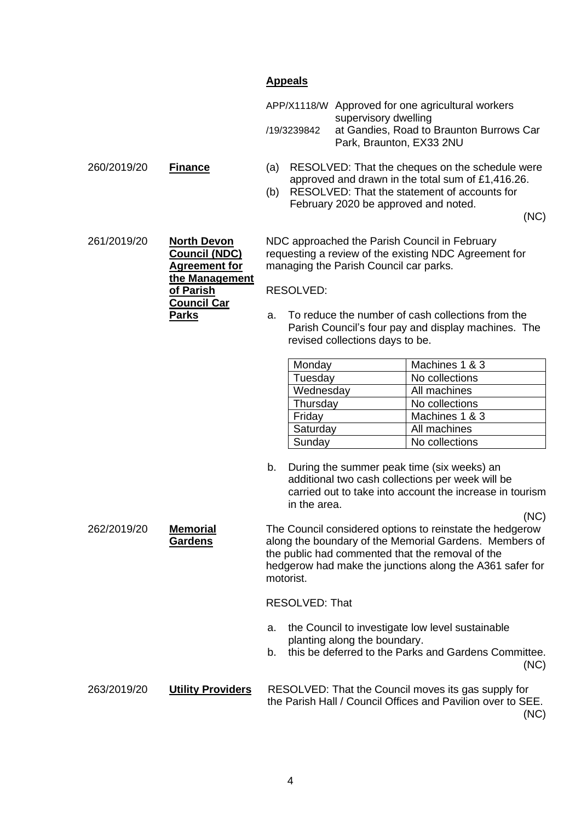## **Appeals**

|             | APP/X1118/W Approved for one agricultural workers                                            |
|-------------|----------------------------------------------------------------------------------------------|
| /19/3239842 | supervisory dwelling<br>at Gandies, Road to Braunton Burrows Car<br>Park, Braunton, EX33 2NU |

- 260/2019/20 **Finance** (a) RESOLVED: That the cheques on the schedule were approved and drawn in the total sum of £1,416.26.
	- (b) RESOLVED: That the statement of accounts for February 2020 be approved and noted.

(NC)

261/2019/20 **North Devon Council (NDC) Agreement for the Management of Parish Council Car Parks** RESOLVED:

NDC approached the Parish Council in February requesting a review of the existing NDC Agreement for managing the Parish Council car parks.

a. To reduce the number of cash collections from the Parish Council's four pay and display machines. The revised collections days to be.

| Monday    | Machines 1 & 3 |
|-----------|----------------|
| Tuesday   | No collections |
| Wednesday | All machines   |
| Thursday  | No collections |
| Friday    | Machines 1 & 3 |
| Saturday  | All machines   |
| Sunday    | No collections |

b. During the summer peak time (six weeks) an additional two cash collections per week will be carried out to take into account the increase in tourism in the area.

262/2019/20 **Memorial Gardens** The Council considered options to reinstate the hedgerow along the boundary of the Memorial Gardens. Members of the public had commented that the removal of the hedgerow had make the junctions along the A361 safer for motorist.

RESOLVED: That

- a. the Council to investigate low level sustainable planting along the boundary.
- b. this be deferred to the Parks and Gardens Committee. (NC)

```
263/2019/20 Utility Providers RESOLVED: That the Council moves its gas supply for
                       the Parish Hall / Council Offices and Pavilion over to SEE.
```
(NC)

(NC)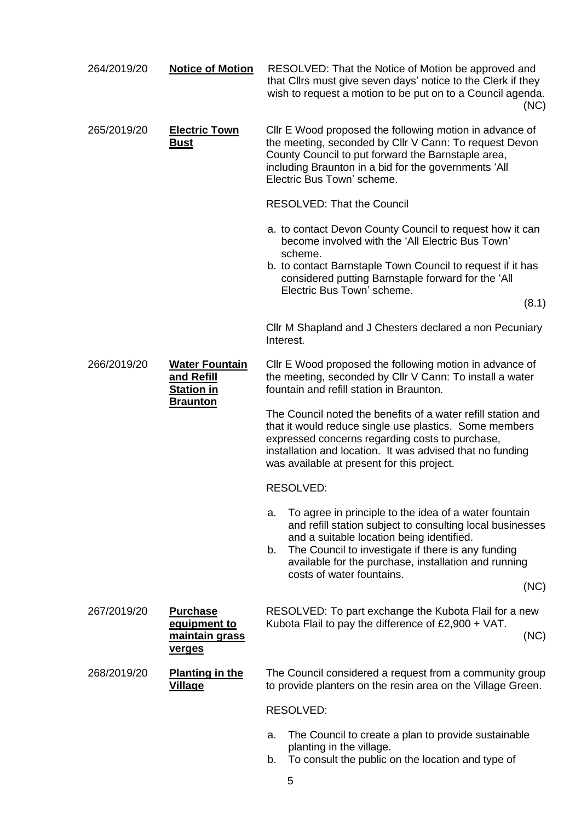| 264/2019/20 | <b>Notice of Motion</b>                                                     | RESOLVED: That the Notice of Motion be approved and<br>that Clirs must give seven days' notice to the Clerk if they<br>wish to request a motion to be put on to a Council agenda.<br>(NC)                                                                                                                                      |
|-------------|-----------------------------------------------------------------------------|--------------------------------------------------------------------------------------------------------------------------------------------------------------------------------------------------------------------------------------------------------------------------------------------------------------------------------|
| 265/2019/20 | <b>Electric Town</b><br><u>Bust</u>                                         | Cllr E Wood proposed the following motion in advance of<br>the meeting, seconded by Cllr V Cann: To request Devon<br>County Council to put forward the Barnstaple area,<br>including Braunton in a bid for the governments 'All<br>Electric Bus Town' scheme.                                                                  |
|             |                                                                             | <b>RESOLVED: That the Council</b>                                                                                                                                                                                                                                                                                              |
|             |                                                                             | a. to contact Devon County Council to request how it can<br>become involved with the 'All Electric Bus Town'<br>scheme.<br>b. to contact Barnstaple Town Council to request if it has<br>considered putting Barnstaple forward for the 'All<br>Electric Bus Town' scheme.                                                      |
|             |                                                                             | (8.1)                                                                                                                                                                                                                                                                                                                          |
|             |                                                                             | Cllr M Shapland and J Chesters declared a non Pecuniary<br>Interest.                                                                                                                                                                                                                                                           |
| 266/2019/20 | <b>Water Fountain</b><br>and Refill<br><b>Station in</b><br><b>Braunton</b> | Cllr E Wood proposed the following motion in advance of<br>the meeting, seconded by Cllr V Cann: To install a water<br>fountain and refill station in Braunton.                                                                                                                                                                |
|             |                                                                             | The Council noted the benefits of a water refill station and<br>that it would reduce single use plastics. Some members<br>expressed concerns regarding costs to purchase,<br>installation and location. It was advised that no funding<br>was available at present for this project.                                           |
|             |                                                                             | RESOLVED:                                                                                                                                                                                                                                                                                                                      |
|             |                                                                             | To agree in principle to the idea of a water fountain<br>а.<br>and refill station subject to consulting local businesses<br>and a suitable location being identified.<br>The Council to investigate if there is any funding<br>b.<br>available for the purchase, installation and running<br>costs of water fountains.<br>(NC) |
| 267/2019/20 | <b>Purchase</b><br>equipment to<br>maintain grass<br><u>verges</u>          | RESOLVED: To part exchange the Kubota Flail for a new<br>Kubota Flail to pay the difference of $£2,900 + VAT$ .<br>(NC)                                                                                                                                                                                                        |
| 268/2019/20 | <b>Planting in the</b><br><b>Village</b>                                    | The Council considered a request from a community group<br>to provide planters on the resin area on the Village Green.                                                                                                                                                                                                         |
|             |                                                                             | RESOLVED:                                                                                                                                                                                                                                                                                                                      |
|             |                                                                             | The Council to create a plan to provide sustainable<br>a.<br>planting in the village.<br>concult the public on the legation and tupe of                                                                                                                                                                                        |

b. To consult the public on the location and type of